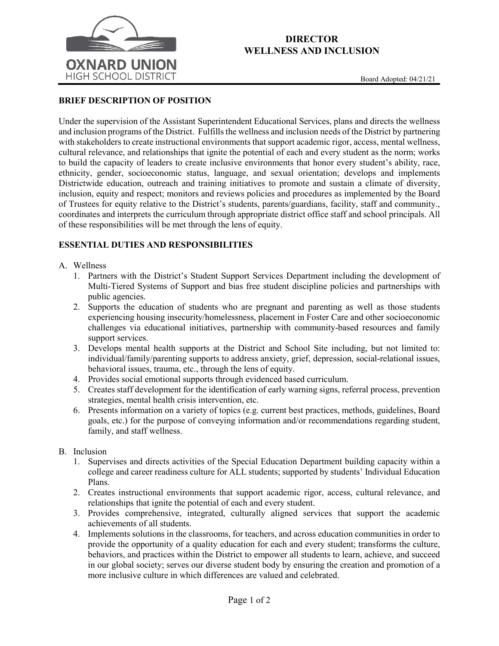

## **DIRECTOR WELLNESS AND INCLUSION**

## **BRIEF DESCRIPTION OF POSITION**

Under the supervision of the Assistant Superintendent Educational Services, plans and directs the wellness and inclusion programs of the District. Fulfills the wellness and inclusion needs of the District by partnering with stakeholders to create instructional environments that support academic rigor, access, mental wellness, cultural relevance, and relationships that ignite the potential of each and every student as the norm; works to build the capacity of leaders to create inclusive environments that honor every student's ability, race, ethnicity, gender, socioeconomic status, language, and sexual orientation; develops and implements Districtwide education, outreach and training initiatives to promote and sustain a climate of diversity, inclusion, equity and respect; monitors and reviews policies and procedures as implemented by the Board of Trustees for equity relative to the District's students, parents/guardians, facility, staff and community., coordinates and interprets the curriculum through appropriate district office staff and school principals. All of these responsibilities will be met through the lens of equity.

### **ESSENTIAL DUTIES AND RESPONSIBILITIES**

#### A. Wellness

- 1. Partners with the District's Student Support Services Department including the development of Multi-Tiered Systems of Support and bias free student discipline policies and partnerships with public agencies.
- 2. Supports the education of students who are pregnant and parenting as well as those students experiencing housing insecurity/homelessness, placement in Foster Care and other socioeconomic challenges via educational initiatives, partnership with community-based resources and family support services.
- 3. Develops mental health supports at the District and School Site including, but not limited to: individual/family/parenting supports to address anxiety, grief, depression, social-relational issues, behavioral issues, trauma, etc., through the lens of equity.
- 4. Provides social emotional supports through evidenced based curriculum.
- 5. Creates staff development for the identification of early warning signs, referral process, prevention strategies, mental health crisis intervention, etc.
- 6. Presents information on a variety of topics (e.g. current best practices, methods, guidelines, Board goals, etc.) for the purpose of conveying information and/or recommendations regarding student, family, and staff wellness.
- B. Inclusion
	- 1. Supervises and directs activities of the Special Education Department building capacity within a college and career readiness culture for ALL students; supported by students' Individual Education Plans.
	- 2. Creates instructional environments that support academic rigor, access, cultural relevance, and relationships that ignite the potential of each and every student.
	- 3. Provides comprehensive, integrated, culturally aligned services that support the academic achievements of all students.
	- 4. Implements solutions in the classrooms, for teachers, and across education communities in order to provide the opportunity of a quality education for each and every student; transforms the culture, behaviors, and practices within the District to empower all students to learn, achieve, and succeed in our global society; serves our diverse student body by ensuring the creation and promotion of a more inclusive culture in which differences are valued and celebrated.